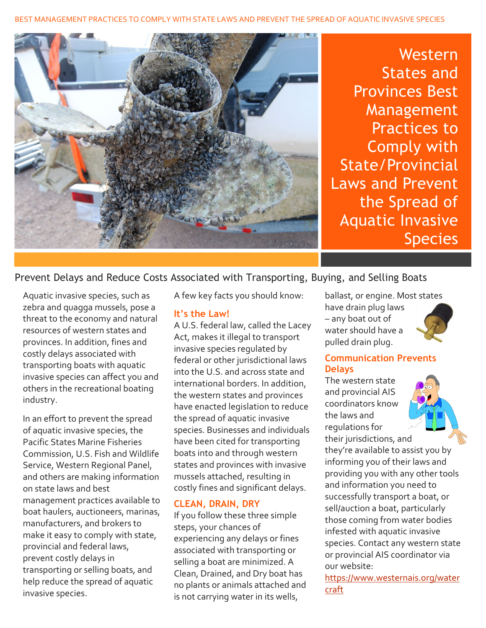BEST MANAGEMENT PRACTICES TO COMPLY WITH STATE LAWS AND PREVENT THE SPREAD OF AQUATIC INVASIVE SPECIES



**Western** States and Provinces Best Management Practices to Comply with State/Provincial Laws and Prevent the Spread of Aquatic Invasive Species

# Prevent Delays and Reduce Costs Associated with Transporting, Buying, and Selling Boats

Aquatic invasive species, such as zebra and quagga mussels, pose a threat to the economy and natural resources of western states and provinces. In addition, fines and costly delays associated with transporting boats with aquatic invasive species can affect you and others in the recreational boating industry.

In an effort to prevent the spread of aquatic invasive species, the Pacific States Marine Fisheries Commission, U.S. Fish and Wildlife Service, Western Regional Panel, and others are making information on state laws and best management practices available to boat haulers, auctioneers, marinas, manufacturers, and brokers to make it easy to comply with state, provincial and federal laws, prevent costly delays in transporting or selling boats, and help reduce the spread of aquatic invasive species.

A few key facts you should know:

#### **It's the Law!**

A U.S. federal law, called the Lacey Act, makes it illegal to transport invasive species regulated by federal or other jurisdictional laws into the U.S. and across state and international borders. In addition, the western states and provinces have enacted legislation to reduce the spread of aquatic invasive species. Businesses and individuals have been cited for transporting boats into and through western states and provinces with invasive mussels attached, resulting in costly fines and significant delays.

#### **CLEAN, DRAIN, DRY**

If you follow these three simple steps, your chances of experiencing any delays or fines associated with transporting or selling a boat are minimized. A Clean, Drained, and Dry boat has no plants or animals attached and is not carrying water in its wells,

ballast, or engine. Most states

have drain plug laws – any boat out of water should have a pulled drain plug.



#### **Communication Prevents Delays**

The western state and provincial AIS coordinators know the laws and regulations for their jurisdictions, and



they're available to assist you by informing you of their laws and providing you with any other tools and information you need to successfully transport a boat, or sell/auction a boat, particularly those coming from water bodies infested with aquatic invasive species. Contact any western state or provincial AIS coordinator via our website:

[https://www.westernais.org/water](https://www.westernais.org/watercraft) [craft](https://www.westernais.org/watercraft)